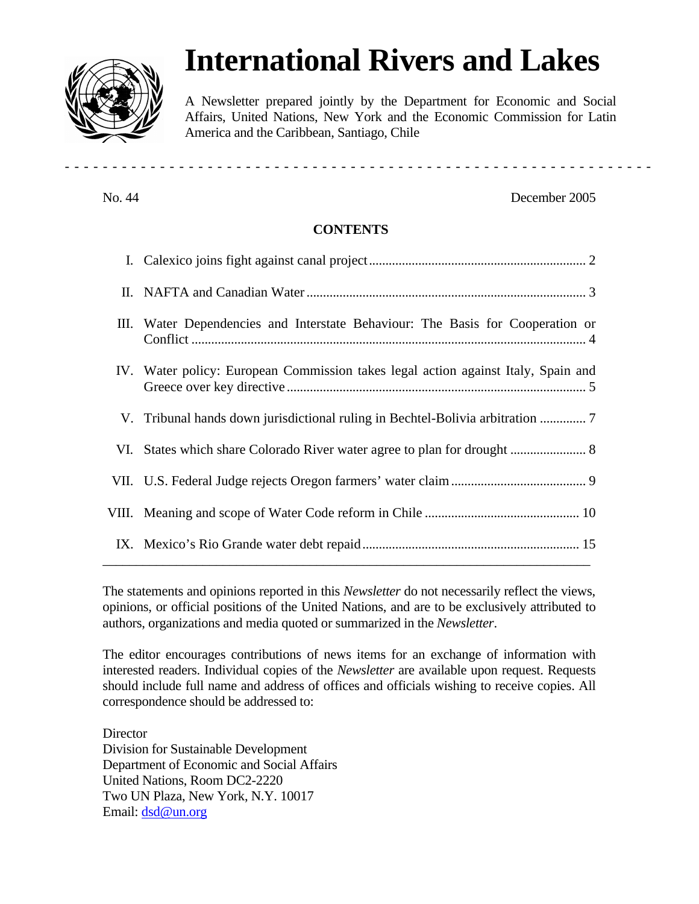# **International Rivers and Lakes**

A Newsletter prepared jointly by the Department for Economic and Social Affairs, United Nations, New York and the Economic Commission for Latin America and the Caribbean, Santiago, Chile

### No. 44 December 2005

## **CONTENTS**

------------ --------------------------------------------------

| Ш. | Water Dependencies and Interstate Behaviour: The Basis for Cooperation or         |
|----|-----------------------------------------------------------------------------------|
|    | IV. Water policy: European Commission takes legal action against Italy, Spain and |
|    | V. Tribunal hands down jurisdictional ruling in Bechtel-Bolivia arbitration       |
|    |                                                                                   |
|    |                                                                                   |
|    |                                                                                   |
|    |                                                                                   |

The statements and opinions reported in this *Newsletter* do not necessarily reflect the views, opinions, or official positions of the United Nations, and are to be exclusively attributed to authors, organizations and media quoted or summarized in the *Newsletter*.

The editor encourages contributions of news items for an exchange of information with interested readers. Individual copies of the *Newsletter* are available upon request. Requests should include full name and address of offices and officials wishing to receive copies. All correspondence should be addressed to:

**Director** Division for Sustainable Development Department of Economic and Social Affairs United Nations, Room DC2-2220 Two UN Plaza, New York, N.Y. 10017 Email: dsd@un.org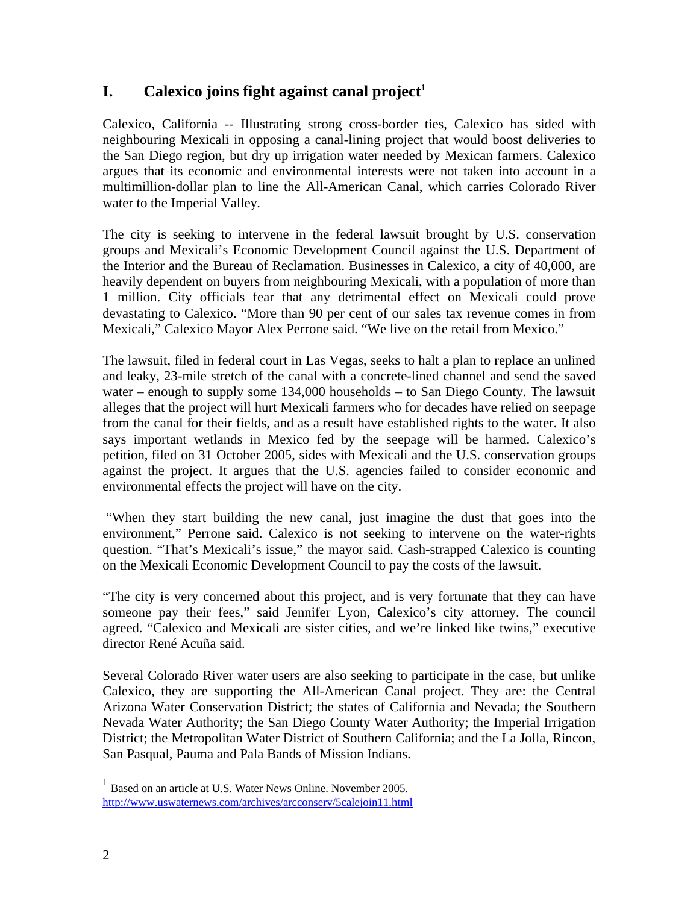# **I. Calexico joins fight against canal project<sup>1</sup>**

Calexico, California -- Illustrating strong cross-border ties, Calexico has sided with neighbouring Mexicali in opposing a canal-lining project that would boost deliveries to the San Diego region, but dry up irrigation water needed by Mexican farmers. Calexico argues that its economic and environmental interests were not taken into account in a multimillion-dollar plan to line the All-American Canal, which carries Colorado River water to the Imperial Valley.

The city is seeking to intervene in the federal lawsuit brought by U.S. conservation groups and Mexicali's Economic Development Council against the U.S. Department of the Interior and the Bureau of Reclamation. Businesses in Calexico, a city of 40,000, are heavily dependent on buyers from neighbouring Mexicali, with a population of more than 1 million. City officials fear that any detrimental effect on Mexicali could prove devastating to Calexico. "More than 90 per cent of our sales tax revenue comes in from Mexicali," Calexico Mayor Alex Perrone said. "We live on the retail from Mexico."

The lawsuit, filed in federal court in Las Vegas, seeks to halt a plan to replace an unlined and leaky, 23-mile stretch of the canal with a concrete-lined channel and send the saved water – enough to supply some 134,000 households – to San Diego County. The lawsuit alleges that the project will hurt Mexicali farmers who for decades have relied on seepage from the canal for their fields, and as a result have established rights to the water. It also says important wetlands in Mexico fed by the seepage will be harmed. Calexico's petition, filed on 31 October 2005, sides with Mexicali and the U.S. conservation groups against the project. It argues that the U.S. agencies failed to consider economic and environmental effects the project will have on the city.

"When they start building the new canal, just imagine the dust that goes into the environment," Perrone said. Calexico is not seeking to intervene on the water-rights question. "That's Mexicali's issue," the mayor said. Cash-strapped Calexico is counting on the Mexicali Economic Development Council to pay the costs of the lawsuit.

"The city is very concerned about this project, and is very fortunate that they can have someone pay their fees," said Jennifer Lyon, Calexico's city attorney. The council agreed. "Calexico and Mexicali are sister cities, and we're linked like twins," executive director René Acuña said.

Several Colorado River water users are also seeking to participate in the case, but unlike Calexico, they are supporting the All-American Canal project. They are: the Central Arizona Water Conservation District; the states of California and Nevada; the Southern Nevada Water Authority; the San Diego County Water Authority; the Imperial Irrigation District; the Metropolitan Water District of Southern California; and the La Jolla, Rincon, San Pasqual, Pauma and Pala Bands of Mission Indians.

<u>.</u>

<sup>&</sup>lt;sup>1</sup> Based on an article at U.S. Water News Online. November 2005. http://www.uswaternews.com/archives/arcconserv/5calejoin11.html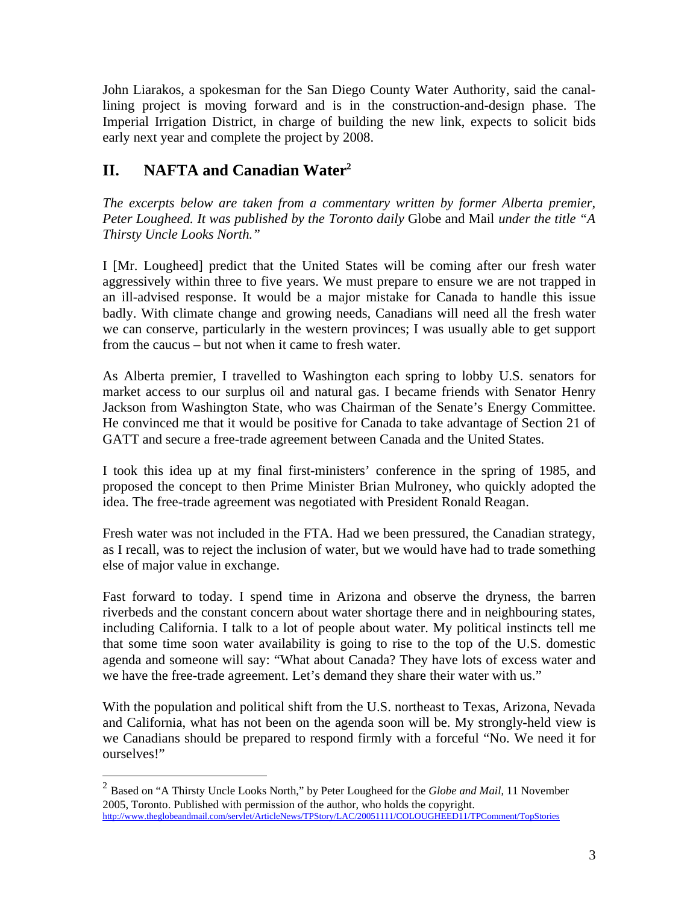John Liarakos, a spokesman for the San Diego County Water Authority, said the canallining project is moving forward and is in the construction-and-design phase. The Imperial Irrigation District, in charge of building the new link, expects to solicit bids early next year and complete the project by 2008.

# **II. NAFTA and Canadian Water<sup>2</sup>**

*The excerpts below are taken from a commentary written by former Alberta premier, Peter Lougheed. It was published by the Toronto daily* Globe and Mail *under the title "A Thirsty Uncle Looks North."*

I [Mr. Lougheed] predict that the United States will be coming after our fresh water aggressively within three to five years. We must prepare to ensure we are not trapped in an ill-advised response. It would be a major mistake for Canada to handle this issue badly. With climate change and growing needs, Canadians will need all the fresh water we can conserve, particularly in the western provinces; I was usually able to get support from the caucus – but not when it came to fresh water.

As Alberta premier, I travelled to Washington each spring to lobby U.S. senators for market access to our surplus oil and natural gas. I became friends with Senator Henry Jackson from Washington State, who was Chairman of the Senate's Energy Committee. He convinced me that it would be positive for Canada to take advantage of Section 21 of GATT and secure a free-trade agreement between Canada and the United States.

I took this idea up at my final first-ministers' conference in the spring of 1985, and proposed the concept to then Prime Minister Brian Mulroney, who quickly adopted the idea. The free-trade agreement was negotiated with President Ronald Reagan.

Fresh water was not included in the FTA. Had we been pressured, the Canadian strategy, as I recall, was to reject the inclusion of water, but we would have had to trade something else of major value in exchange.

Fast forward to today. I spend time in Arizona and observe the dryness, the barren riverbeds and the constant concern about water shortage there and in neighbouring states, including California. I talk to a lot of people about water. My political instincts tell me that some time soon water availability is going to rise to the top of the U.S. domestic agenda and someone will say: "What about Canada? They have lots of excess water and we have the free-trade agreement. Let's demand they share their water with us."

With the population and political shift from the U.S. northeast to Texas, Arizona, Nevada and California, what has not been on the agenda soon will be. My strongly-held view is we Canadians should be prepared to respond firmly with a forceful "No. We need it for ourselves!"

 2 Based on "A Thirsty Uncle Looks North," by Peter Lougheed for the *Globe and Mail*, 11 November 2005, Toronto. Published with permission of the author, who holds the copyright. http://www.theglobeandmail.com/servlet/ArticleNews/TPStory/LAC/20051111/COLOUGHEED11/TPComment/TopStories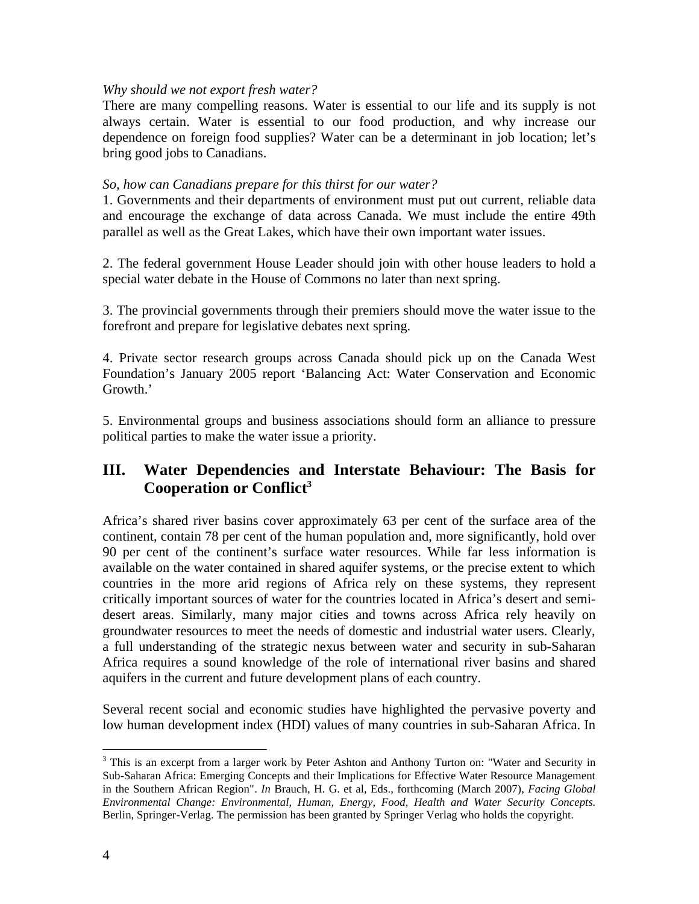#### *Why should we not export fresh water?*

There are many compelling reasons. Water is essential to our life and its supply is not always certain. Water is essential to our food production, and why increase our dependence on foreign food supplies? Water can be a determinant in job location; let's bring good jobs to Canadians.

#### *So, how can Canadians prepare for this thirst for our water?*

1. Governments and their departments of environment must put out current, reliable data and encourage the exchange of data across Canada. We must include the entire 49th parallel as well as the Great Lakes, which have their own important water issues.

2. The federal government House Leader should join with other house leaders to hold a special water debate in the House of Commons no later than next spring.

3. The provincial governments through their premiers should move the water issue to the forefront and prepare for legislative debates next spring.

4. Private sector research groups across Canada should pick up on the Canada West Foundation's January 2005 report 'Balancing Act: Water Conservation and Economic Growth.'

5. Environmental groups and business associations should form an alliance to pressure political parties to make the water issue a priority.

# **III. Water Dependencies and Interstate Behaviour: The Basis for Cooperation or Conflict<sup>3</sup>**

Africa's shared river basins cover approximately 63 per cent of the surface area of the continent, contain 78 per cent of the human population and, more significantly, hold over 90 per cent of the continent's surface water resources. While far less information is available on the water contained in shared aquifer systems, or the precise extent to which countries in the more arid regions of Africa rely on these systems, they represent critically important sources of water for the countries located in Africa's desert and semidesert areas. Similarly, many major cities and towns across Africa rely heavily on groundwater resources to meet the needs of domestic and industrial water users. Clearly, a full understanding of the strategic nexus between water and security in sub-Saharan Africa requires a sound knowledge of the role of international river basins and shared aquifers in the current and future development plans of each country.

Several recent social and economic studies have highlighted the pervasive poverty and low human development index (HDI) values of many countries in sub-Saharan Africa. In

1

<sup>&</sup>lt;sup>3</sup> This is an excerpt from a larger work by Peter Ashton and Anthony Turton on: "Water and Security in Sub-Saharan Africa: Emerging Concepts and their Implications for Effective Water Resource Management in the Southern African Region". *In* Brauch, H. G. et al, Eds., forthcoming (March 2007), *Facing Global Environmental Change: Environmental, Human, Energy, Food, Health and Water Security Concepts.*  Berlin, Springer-Verlag. The permission has been granted by Springer Verlag who holds the copyright.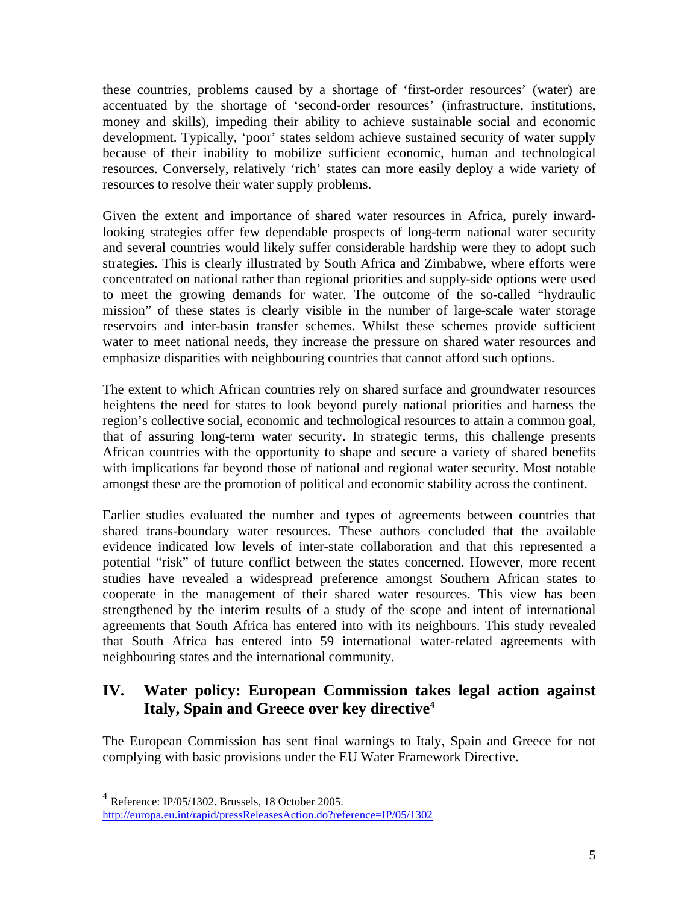these countries, problems caused by a shortage of 'first-order resources' (water) are accentuated by the shortage of 'second-order resources' (infrastructure, institutions, money and skills), impeding their ability to achieve sustainable social and economic development. Typically, 'poor' states seldom achieve sustained security of water supply because of their inability to mobilize sufficient economic, human and technological resources. Conversely, relatively 'rich' states can more easily deploy a wide variety of resources to resolve their water supply problems.

Given the extent and importance of shared water resources in Africa, purely inwardlooking strategies offer few dependable prospects of long-term national water security and several countries would likely suffer considerable hardship were they to adopt such strategies. This is clearly illustrated by South Africa and Zimbabwe, where efforts were concentrated on national rather than regional priorities and supply-side options were used to meet the growing demands for water. The outcome of the so-called "hydraulic mission" of these states is clearly visible in the number of large-scale water storage reservoirs and inter-basin transfer schemes. Whilst these schemes provide sufficient water to meet national needs, they increase the pressure on shared water resources and emphasize disparities with neighbouring countries that cannot afford such options.

The extent to which African countries rely on shared surface and groundwater resources heightens the need for states to look beyond purely national priorities and harness the region's collective social, economic and technological resources to attain a common goal, that of assuring long-term water security. In strategic terms, this challenge presents African countries with the opportunity to shape and secure a variety of shared benefits with implications far beyond those of national and regional water security. Most notable amongst these are the promotion of political and economic stability across the continent.

Earlier studies evaluated the number and types of agreements between countries that shared trans-boundary water resources. These authors concluded that the available evidence indicated low levels of inter-state collaboration and that this represented a potential "risk" of future conflict between the states concerned. However, more recent studies have revealed a widespread preference amongst Southern African states to cooperate in the management of their shared water resources. This view has been strengthened by the interim results of a study of the scope and intent of international agreements that South Africa has entered into with its neighbours. This study revealed that South Africa has entered into 59 international water-related agreements with neighbouring states and the international community.

# **IV. Water policy: European Commission takes legal action against Italy, Spain and Greece over key directive<sup>4</sup>**

The European Commission has sent final warnings to Italy, Spain and Greece for not complying with basic provisions under the EU Water Framework Directive.

 4 Reference: IP/05/1302. Brussels, 18 October 2005. http://europa.eu.int/rapid/pressReleasesAction.do?reference=IP/05/1302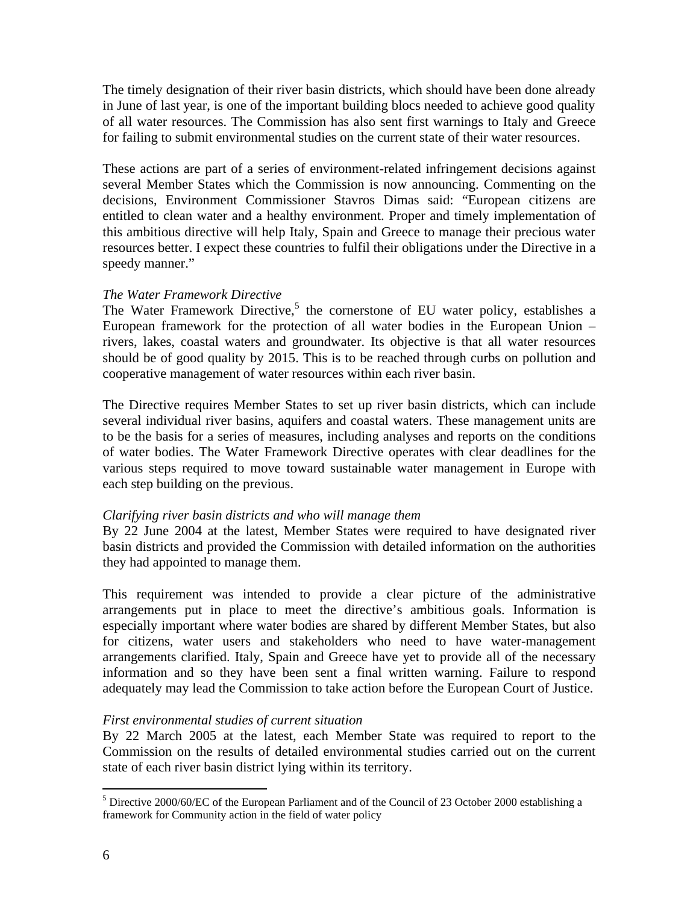The timely designation of their river basin districts, which should have been done already in June of last year, is one of the important building blocs needed to achieve good quality of all water resources. The Commission has also sent first warnings to Italy and Greece for failing to submit environmental studies on the current state of their water resources.

These actions are part of a series of environment-related infringement decisions against several Member States which the Commission is now announcing. Commenting on the decisions, Environment Commissioner Stavros Dimas said: "European citizens are entitled to clean water and a healthy environment. Proper and timely implementation of this ambitious directive will help Italy, Spain and Greece to manage their precious water resources better. I expect these countries to fulfil their obligations under the Directive in a speedy manner."

#### *The Water Framework Directive*

The Water Framework Directive,<sup>5</sup> the cornerstone of EU water policy, establishes a European framework for the protection of all water bodies in the European Union – rivers, lakes, coastal waters and groundwater. Its objective is that all water resources should be of good quality by 2015. This is to be reached through curbs on pollution and cooperative management of water resources within each river basin.

The Directive requires Member States to set up river basin districts, which can include several individual river basins, aquifers and coastal waters. These management units are to be the basis for a series of measures, including analyses and reports on the conditions of water bodies. The Water Framework Directive operates with clear deadlines for the various steps required to move toward sustainable water management in Europe with each step building on the previous.

#### *Clarifying river basin districts and who will manage them*

By 22 June 2004 at the latest, Member States were required to have designated river basin districts and provided the Commission with detailed information on the authorities they had appointed to manage them.

This requirement was intended to provide a clear picture of the administrative arrangements put in place to meet the directive's ambitious goals. Information is especially important where water bodies are shared by different Member States, but also for citizens, water users and stakeholders who need to have water-management arrangements clarified. Italy, Spain and Greece have yet to provide all of the necessary information and so they have been sent a final written warning. Failure to respond adequately may lead the Commission to take action before the European Court of Justice.

#### *First environmental studies of current situation*

By 22 March 2005 at the latest, each Member State was required to report to the Commission on the results of detailed environmental studies carried out on the current state of each river basin district lying within its territory.

<sup>1</sup> <sup>5</sup> Directive 2000/60/EC of the European Parliament and of the Council of 23 October 2000 establishing a framework for Community action in the field of water policy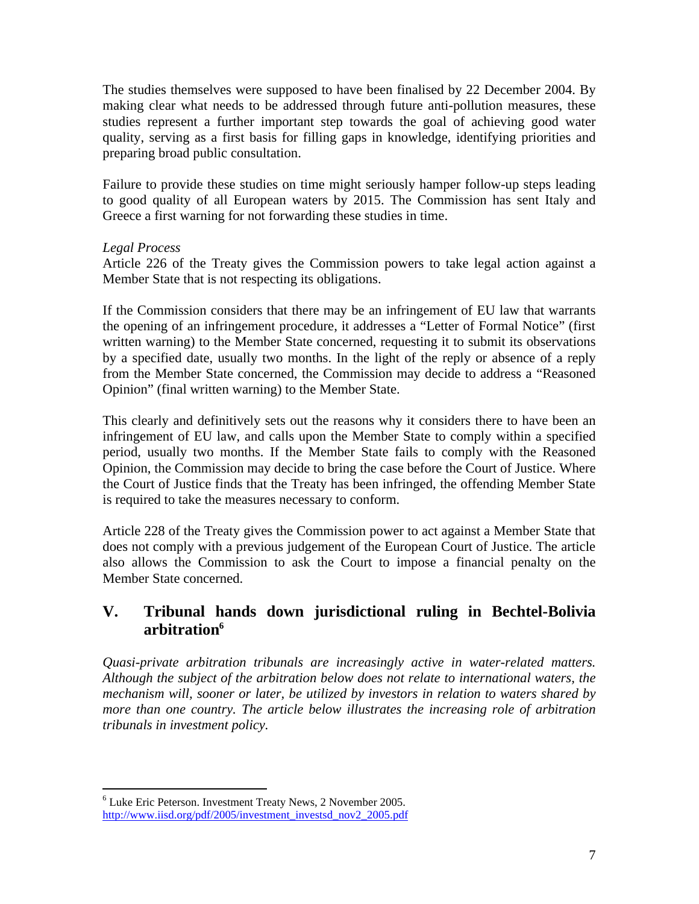The studies themselves were supposed to have been finalised by 22 December 2004. By making clear what needs to be addressed through future anti-pollution measures, these studies represent a further important step towards the goal of achieving good water quality, serving as a first basis for filling gaps in knowledge, identifying priorities and preparing broad public consultation.

Failure to provide these studies on time might seriously hamper follow-up steps leading to good quality of all European waters by 2015. The Commission has sent Italy and Greece a first warning for not forwarding these studies in time.

#### *Legal Process*

Article 226 of the Treaty gives the Commission powers to take legal action against a Member State that is not respecting its obligations.

If the Commission considers that there may be an infringement of EU law that warrants the opening of an infringement procedure, it addresses a "Letter of Formal Notice" (first written warning) to the Member State concerned, requesting it to submit its observations by a specified date, usually two months. In the light of the reply or absence of a reply from the Member State concerned, the Commission may decide to address a "Reasoned Opinion" (final written warning) to the Member State.

This clearly and definitively sets out the reasons why it considers there to have been an infringement of EU law, and calls upon the Member State to comply within a specified period, usually two months. If the Member State fails to comply with the Reasoned Opinion, the Commission may decide to bring the case before the Court of Justice. Where the Court of Justice finds that the Treaty has been infringed, the offending Member State is required to take the measures necessary to conform.

Article 228 of the Treaty gives the Commission power to act against a Member State that does not comply with a previous judgement of the European Court of Justice. The article also allows the Commission to ask the Court to impose a financial penalty on the Member State concerned.

# **V. Tribunal hands down jurisdictional ruling in Bechtel-Bolivia arbitration<sup>6</sup>**

*Quasi-private arbitration tribunals are increasingly active in water-related matters. Although the subject of the arbitration below does not relate to international waters, the mechanism will, sooner or later, be utilized by investors in relation to waters shared by more than one country. The article below illustrates the increasing role of arbitration tribunals in investment policy.*

 $\overline{a}$ <sup>6</sup> Luke Eric Peterson. Investment Treaty News, 2 November 2005. http://www.iisd.org/pdf/2005/investment\_investsd\_nov2\_2005.pdf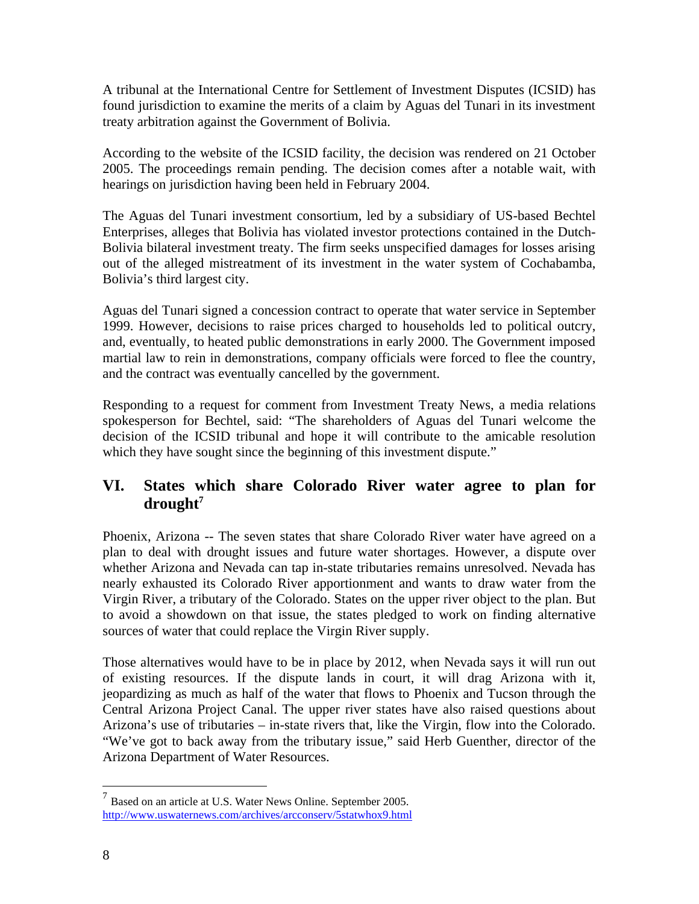A tribunal at the International Centre for Settlement of Investment Disputes (ICSID) has found jurisdiction to examine the merits of a claim by Aguas del Tunari in its investment treaty arbitration against the Government of Bolivia.

According to the website of the ICSID facility, the decision was rendered on 21 October 2005. The proceedings remain pending. The decision comes after a notable wait, with hearings on jurisdiction having been held in February 2004.

The Aguas del Tunari investment consortium, led by a subsidiary of US-based Bechtel Enterprises, alleges that Bolivia has violated investor protections contained in the Dutch-Bolivia bilateral investment treaty. The firm seeks unspecified damages for losses arising out of the alleged mistreatment of its investment in the water system of Cochabamba, Bolivia's third largest city.

Aguas del Tunari signed a concession contract to operate that water service in September 1999. However, decisions to raise prices charged to households led to political outcry, and, eventually, to heated public demonstrations in early 2000. The Government imposed martial law to rein in demonstrations, company officials were forced to flee the country, and the contract was eventually cancelled by the government.

Responding to a request for comment from Investment Treaty News, a media relations spokesperson for Bechtel, said: "The shareholders of Aguas del Tunari welcome the decision of the ICSID tribunal and hope it will contribute to the amicable resolution which they have sought since the beginning of this investment dispute."

# **VI. States which share Colorado River water agree to plan for drought<sup>7</sup>**

Phoenix, Arizona -- The seven states that share Colorado River water have agreed on a plan to deal with drought issues and future water shortages. However, a dispute over whether Arizona and Nevada can tap in-state tributaries remains unresolved. Nevada has nearly exhausted its Colorado River apportionment and wants to draw water from the Virgin River, a tributary of the Colorado. States on the upper river object to the plan. But to avoid a showdown on that issue, the states pledged to work on finding alternative sources of water that could replace the Virgin River supply.

Those alternatives would have to be in place by 2012, when Nevada says it will run out of existing resources. If the dispute lands in court, it will drag Arizona with it, jeopardizing as much as half of the water that flows to Phoenix and Tucson through the Central Arizona Project Canal. The upper river states have also raised questions about Arizona's use of tributaries – in-state rivers that, like the Virgin, flow into the Colorado. "We've got to back away from the tributary issue," said Herb Guenther, director of the Arizona Department of Water Resources.

 7 Based on an article at U.S. Water News Online. September 2005. http://www.uswaternews.com/archives/arcconserv/5statwhox9.html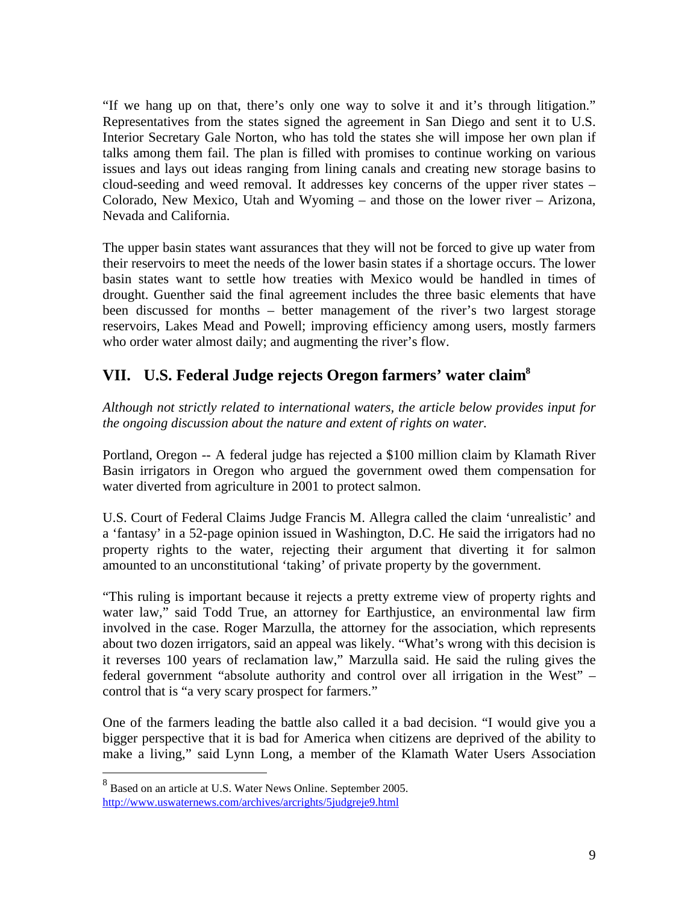"If we hang up on that, there's only one way to solve it and it's through litigation." Representatives from the states signed the agreement in San Diego and sent it to U.S. Interior Secretary Gale Norton, who has told the states she will impose her own plan if talks among them fail. The plan is filled with promises to continue working on various issues and lays out ideas ranging from lining canals and creating new storage basins to cloud-seeding and weed removal. It addresses key concerns of the upper river states – Colorado, New Mexico, Utah and Wyoming – and those on the lower river – Arizona, Nevada and California.

The upper basin states want assurances that they will not be forced to give up water from their reservoirs to meet the needs of the lower basin states if a shortage occurs. The lower basin states want to settle how treaties with Mexico would be handled in times of drought. Guenther said the final agreement includes the three basic elements that have been discussed for months – better management of the river's two largest storage reservoirs, Lakes Mead and Powell; improving efficiency among users, mostly farmers who order water almost daily; and augmenting the river's flow.

# **VII. U.S. Federal Judge rejects Oregon farmers' water claim<sup>8</sup>**

*Although not strictly related to international waters, the article below provides input for the ongoing discussion about the nature and extent of rights on water.* 

Portland, Oregon -- A federal judge has rejected a \$100 million claim by Klamath River Basin irrigators in Oregon who argued the government owed them compensation for water diverted from agriculture in 2001 to protect salmon.

U.S. Court of Federal Claims Judge Francis M. Allegra called the claim 'unrealistic' and a 'fantasy' in a 52-page opinion issued in Washington, D.C. He said the irrigators had no property rights to the water, rejecting their argument that diverting it for salmon amounted to an unconstitutional 'taking' of private property by the government.

"This ruling is important because it rejects a pretty extreme view of property rights and water law," said Todd True, an attorney for Earthjustice, an environmental law firm involved in the case. Roger Marzulla, the attorney for the association, which represents about two dozen irrigators, said an appeal was likely. "What's wrong with this decision is it reverses 100 years of reclamation law," Marzulla said. He said the ruling gives the federal government "absolute authority and control over all irrigation in the West" – control that is "a very scary prospect for farmers."

One of the farmers leading the battle also called it a bad decision. "I would give you a bigger perspective that it is bad for America when citizens are deprived of the ability to make a living," said Lynn Long, a member of the Klamath Water Users Association

<sup>8&</sup>lt;br>Based on an article at U.S. Water News Online. September 2005. http://www.uswaternews.com/archives/arcrights/5judgreje9.html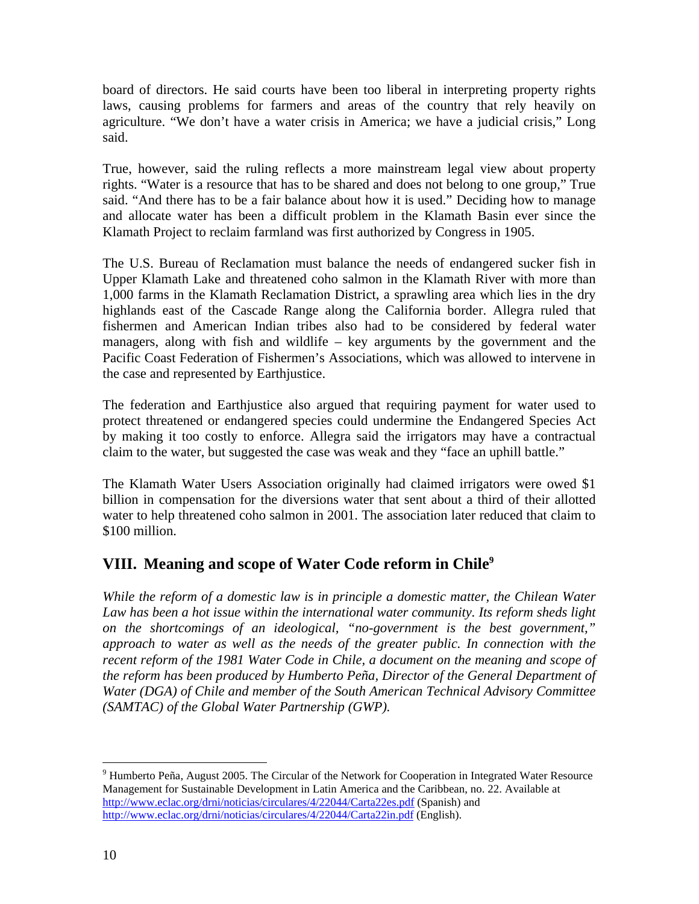board of directors. He said courts have been too liberal in interpreting property rights laws, causing problems for farmers and areas of the country that rely heavily on agriculture. "We don't have a water crisis in America; we have a judicial crisis," Long said.

True, however, said the ruling reflects a more mainstream legal view about property rights. "Water is a resource that has to be shared and does not belong to one group," True said. "And there has to be a fair balance about how it is used." Deciding how to manage and allocate water has been a difficult problem in the Klamath Basin ever since the Klamath Project to reclaim farmland was first authorized by Congress in 1905.

The U.S. Bureau of Reclamation must balance the needs of endangered sucker fish in Upper Klamath Lake and threatened coho salmon in the Klamath River with more than 1,000 farms in the Klamath Reclamation District, a sprawling area which lies in the dry highlands east of the Cascade Range along the California border. Allegra ruled that fishermen and American Indian tribes also had to be considered by federal water managers, along with fish and wildlife  $-$  key arguments by the government and the Pacific Coast Federation of Fishermen's Associations, which was allowed to intervene in the case and represented by Earthjustice.

The federation and Earthjustice also argued that requiring payment for water used to protect threatened or endangered species could undermine the Endangered Species Act by making it too costly to enforce. Allegra said the irrigators may have a contractual claim to the water, but suggested the case was weak and they "face an uphill battle."

The Klamath Water Users Association originally had claimed irrigators were owed \$1 billion in compensation for the diversions water that sent about a third of their allotted water to help threatened coho salmon in 2001. The association later reduced that claim to \$100 million.

# **VIII. Meaning and scope of Water Code reform in Chile<sup>9</sup>**

*While the reform of a domestic law is in principle a domestic matter, the Chilean Water Law has been a hot issue within the international water community. Its reform sheds light on the shortcomings of an ideological, "no-government is the best government," approach to water as well as the needs of the greater public. In connection with the recent reform of the 1981 Water Code in Chile, a document on the meaning and scope of the reform has been produced by Humberto Peña, Director of the General Department of Water (DGA) of Chile and member of the South American Technical Advisory Committee (SAMTAC) of the Global Water Partnership (GWP).*

 $\overline{a}$ <sup>9</sup> Humberto Peña, August 2005. The Circular of the Network for Cooperation in Integrated Water Resource Management for Sustainable Development in Latin America and the Caribbean, no. 22. Available at http://www.eclac.org/drni/noticias/circulares/4/22044/Carta22es.pdf (Spanish) and http://www.eclac.org/drni/noticias/circulares/4/22044/Carta22in.pdf (English).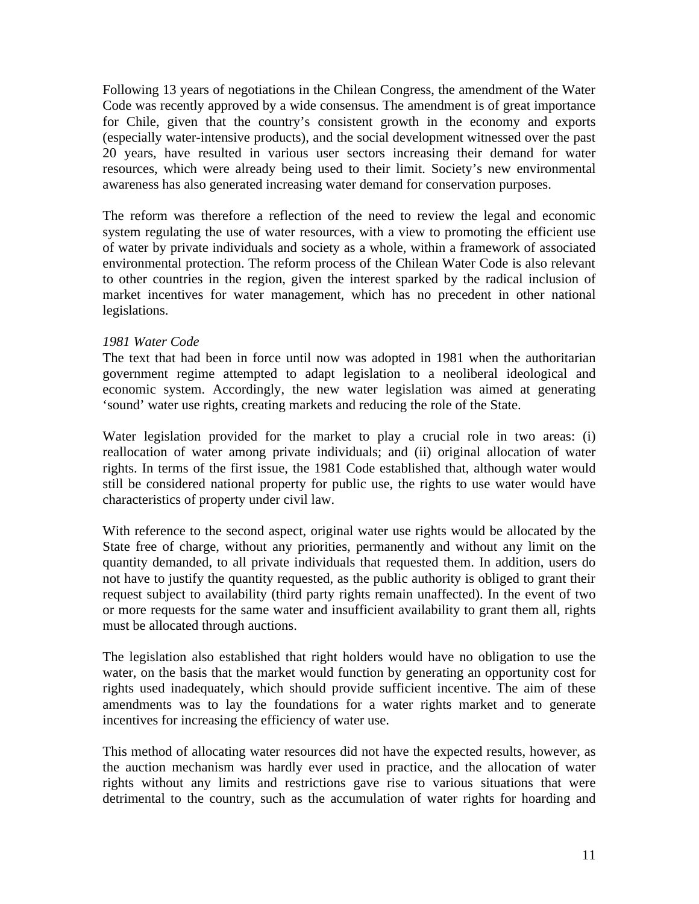Following 13 years of negotiations in the Chilean Congress, the amendment of the Water Code was recently approved by a wide consensus. The amendment is of great importance for Chile, given that the country's consistent growth in the economy and exports (especially water-intensive products), and the social development witnessed over the past 20 years, have resulted in various user sectors increasing their demand for water resources, which were already being used to their limit. Society's new environmental awareness has also generated increasing water demand for conservation purposes.

The reform was therefore a reflection of the need to review the legal and economic system regulating the use of water resources, with a view to promoting the efficient use of water by private individuals and society as a whole, within a framework of associated environmental protection. The reform process of the Chilean Water Code is also relevant to other countries in the region, given the interest sparked by the radical inclusion of market incentives for water management, which has no precedent in other national legislations.

#### *1981 Water Code*

The text that had been in force until now was adopted in 1981 when the authoritarian government regime attempted to adapt legislation to a neoliberal ideological and economic system. Accordingly, the new water legislation was aimed at generating 'sound' water use rights, creating markets and reducing the role of the State.

Water legislation provided for the market to play a crucial role in two areas: (i) reallocation of water among private individuals; and (ii) original allocation of water rights. In terms of the first issue, the 1981 Code established that, although water would still be considered national property for public use, the rights to use water would have characteristics of property under civil law.

With reference to the second aspect, original water use rights would be allocated by the State free of charge, without any priorities, permanently and without any limit on the quantity demanded, to all private individuals that requested them. In addition, users do not have to justify the quantity requested, as the public authority is obliged to grant their request subject to availability (third party rights remain unaffected). In the event of two or more requests for the same water and insufficient availability to grant them all, rights must be allocated through auctions.

The legislation also established that right holders would have no obligation to use the water, on the basis that the market would function by generating an opportunity cost for rights used inadequately, which should provide sufficient incentive. The aim of these amendments was to lay the foundations for a water rights market and to generate incentives for increasing the efficiency of water use.

This method of allocating water resources did not have the expected results, however, as the auction mechanism was hardly ever used in practice, and the allocation of water rights without any limits and restrictions gave rise to various situations that were detrimental to the country, such as the accumulation of water rights for hoarding and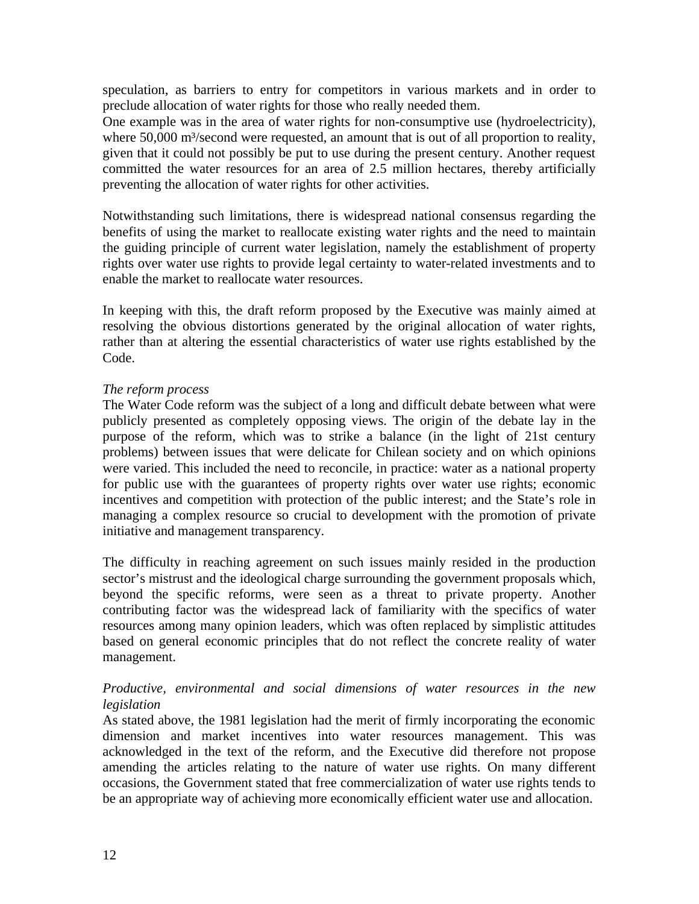speculation, as barriers to entry for competitors in various markets and in order to preclude allocation of water rights for those who really needed them.

One example was in the area of water rights for non-consumptive use (hydroelectricity), where 50,000 m<sup>3</sup>/second were requested, an amount that is out of all proportion to reality, given that it could not possibly be put to use during the present century. Another request committed the water resources for an area of 2.5 million hectares, thereby artificially preventing the allocation of water rights for other activities.

Notwithstanding such limitations, there is widespread national consensus regarding the benefits of using the market to reallocate existing water rights and the need to maintain the guiding principle of current water legislation, namely the establishment of property rights over water use rights to provide legal certainty to water-related investments and to enable the market to reallocate water resources.

In keeping with this, the draft reform proposed by the Executive was mainly aimed at resolving the obvious distortions generated by the original allocation of water rights, rather than at altering the essential characteristics of water use rights established by the Code.

#### *The reform process*

The Water Code reform was the subject of a long and difficult debate between what were publicly presented as completely opposing views. The origin of the debate lay in the purpose of the reform, which was to strike a balance (in the light of 21st century problems) between issues that were delicate for Chilean society and on which opinions were varied. This included the need to reconcile, in practice: water as a national property for public use with the guarantees of property rights over water use rights; economic incentives and competition with protection of the public interest; and the State's role in managing a complex resource so crucial to development with the promotion of private initiative and management transparency.

The difficulty in reaching agreement on such issues mainly resided in the production sector's mistrust and the ideological charge surrounding the government proposals which, beyond the specific reforms, were seen as a threat to private property. Another contributing factor was the widespread lack of familiarity with the specifics of water resources among many opinion leaders, which was often replaced by simplistic attitudes based on general economic principles that do not reflect the concrete reality of water management.

#### *Productive, environmental and social dimensions of water resources in the new legislation*

As stated above, the 1981 legislation had the merit of firmly incorporating the economic dimension and market incentives into water resources management. This was acknowledged in the text of the reform, and the Executive did therefore not propose amending the articles relating to the nature of water use rights. On many different occasions, the Government stated that free commercialization of water use rights tends to be an appropriate way of achieving more economically efficient water use and allocation.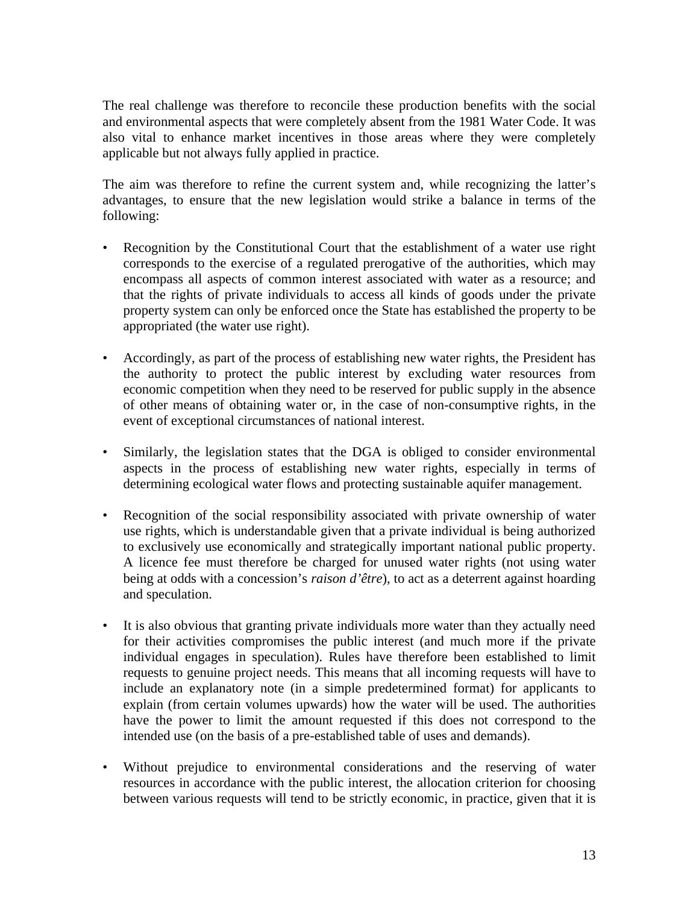The real challenge was therefore to reconcile these production benefits with the social and environmental aspects that were completely absent from the 1981 Water Code. It was also vital to enhance market incentives in those areas where they were completely applicable but not always fully applied in practice.

The aim was therefore to refine the current system and, while recognizing the latter's advantages, to ensure that the new legislation would strike a balance in terms of the following:

- Recognition by the Constitutional Court that the establishment of a water use right corresponds to the exercise of a regulated prerogative of the authorities, which may encompass all aspects of common interest associated with water as a resource; and that the rights of private individuals to access all kinds of goods under the private property system can only be enforced once the State has established the property to be appropriated (the water use right).
- Accordingly, as part of the process of establishing new water rights, the President has the authority to protect the public interest by excluding water resources from economic competition when they need to be reserved for public supply in the absence of other means of obtaining water or, in the case of non-consumptive rights, in the event of exceptional circumstances of national interest.
- Similarly, the legislation states that the DGA is obliged to consider environmental aspects in the process of establishing new water rights, especially in terms of determining ecological water flows and protecting sustainable aquifer management.
- Recognition of the social responsibility associated with private ownership of water use rights, which is understandable given that a private individual is being authorized to exclusively use economically and strategically important national public property. A licence fee must therefore be charged for unused water rights (not using water being at odds with a concession's *raison d'être*), to act as a deterrent against hoarding and speculation.
- It is also obvious that granting private individuals more water than they actually need for their activities compromises the public interest (and much more if the private individual engages in speculation). Rules have therefore been established to limit requests to genuine project needs. This means that all incoming requests will have to include an explanatory note (in a simple predetermined format) for applicants to explain (from certain volumes upwards) how the water will be used. The authorities have the power to limit the amount requested if this does not correspond to the intended use (on the basis of a pre-established table of uses and demands).
- Without prejudice to environmental considerations and the reserving of water resources in accordance with the public interest, the allocation criterion for choosing between various requests will tend to be strictly economic, in practice, given that it is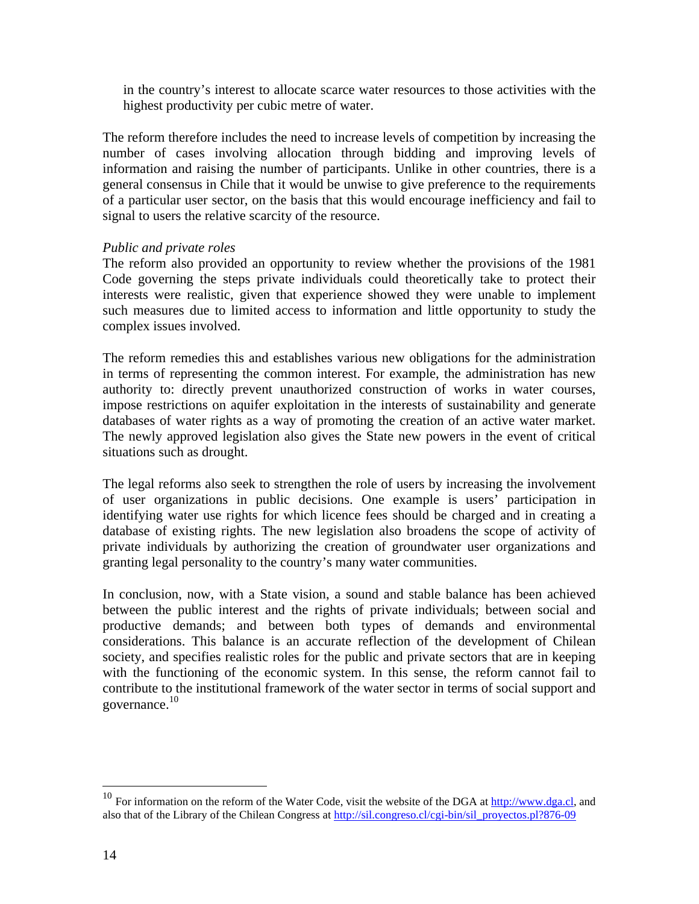in the country's interest to allocate scarce water resources to those activities with the highest productivity per cubic metre of water.

The reform therefore includes the need to increase levels of competition by increasing the number of cases involving allocation through bidding and improving levels of information and raising the number of participants. Unlike in other countries, there is a general consensus in Chile that it would be unwise to give preference to the requirements of a particular user sector, on the basis that this would encourage inefficiency and fail to signal to users the relative scarcity of the resource.

#### *Public and private roles*

The reform also provided an opportunity to review whether the provisions of the 1981 Code governing the steps private individuals could theoretically take to protect their interests were realistic, given that experience showed they were unable to implement such measures due to limited access to information and little opportunity to study the complex issues involved.

The reform remedies this and establishes various new obligations for the administration in terms of representing the common interest. For example, the administration has new authority to: directly prevent unauthorized construction of works in water courses, impose restrictions on aquifer exploitation in the interests of sustainability and generate databases of water rights as a way of promoting the creation of an active water market. The newly approved legislation also gives the State new powers in the event of critical situations such as drought.

The legal reforms also seek to strengthen the role of users by increasing the involvement of user organizations in public decisions. One example is users' participation in identifying water use rights for which licence fees should be charged and in creating a database of existing rights. The new legislation also broadens the scope of activity of private individuals by authorizing the creation of groundwater user organizations and granting legal personality to the country's many water communities.

In conclusion, now, with a State vision, a sound and stable balance has been achieved between the public interest and the rights of private individuals; between social and productive demands; and between both types of demands and environmental considerations. This balance is an accurate reflection of the development of Chilean society, and specifies realistic roles for the public and private sectors that are in keeping with the functioning of the economic system. In this sense, the reform cannot fail to contribute to the institutional framework of the water sector in terms of social support and governance. $10$ 

 $\overline{a}$ 

<sup>&</sup>lt;sup>10</sup> For information on the reform of the Water Code, visit the website of the DGA at  $\frac{http://www.dga.c]}{http://www.dga.c]}$ , and also that of the Library of the Chilean Congress at http://sil.congreso.cl/cgi-bin/sil\_proyectos.pl?876-09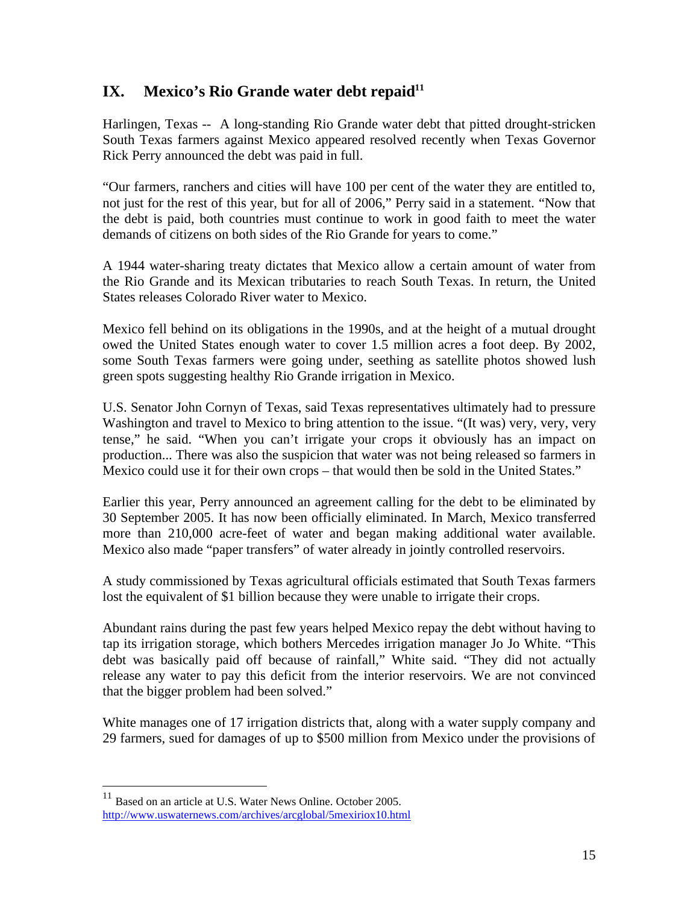# **IX. Mexico's Rio Grande water debt repaid<sup>11</sup>**

Harlingen, Texas -- A long-standing Rio Grande water debt that pitted drought-stricken South Texas farmers against Mexico appeared resolved recently when Texas Governor Rick Perry announced the debt was paid in full.

"Our farmers, ranchers and cities will have 100 per cent of the water they are entitled to, not just for the rest of this year, but for all of 2006," Perry said in a statement. "Now that the debt is paid, both countries must continue to work in good faith to meet the water demands of citizens on both sides of the Rio Grande for years to come."

A 1944 water-sharing treaty dictates that Mexico allow a certain amount of water from the Rio Grande and its Mexican tributaries to reach South Texas. In return, the United States releases Colorado River water to Mexico.

Mexico fell behind on its obligations in the 1990s, and at the height of a mutual drought owed the United States enough water to cover 1.5 million acres a foot deep. By 2002, some South Texas farmers were going under, seething as satellite photos showed lush green spots suggesting healthy Rio Grande irrigation in Mexico.

U.S. Senator John Cornyn of Texas, said Texas representatives ultimately had to pressure Washington and travel to Mexico to bring attention to the issue. "(It was) very, very, very tense," he said. "When you can't irrigate your crops it obviously has an impact on production... There was also the suspicion that water was not being released so farmers in Mexico could use it for their own crops – that would then be sold in the United States."

Earlier this year, Perry announced an agreement calling for the debt to be eliminated by 30 September 2005. It has now been officially eliminated. In March, Mexico transferred more than 210,000 acre-feet of water and began making additional water available. Mexico also made "paper transfers" of water already in jointly controlled reservoirs.

A study commissioned by Texas agricultural officials estimated that South Texas farmers lost the equivalent of \$1 billion because they were unable to irrigate their crops.

Abundant rains during the past few years helped Mexico repay the debt without having to tap its irrigation storage, which bothers Mercedes irrigation manager Jo Jo White. "This debt was basically paid off because of rainfall," White said. "They did not actually release any water to pay this deficit from the interior reservoirs. We are not convinced that the bigger problem had been solved."

White manages one of 17 irrigation districts that, along with a water supply company and 29 farmers, sued for damages of up to \$500 million from Mexico under the provisions of

1

 $11$  Based on an article at U.S. Water News Online. October 2005. http://www.uswaternews.com/archives/arcglobal/5mexiriox10.html